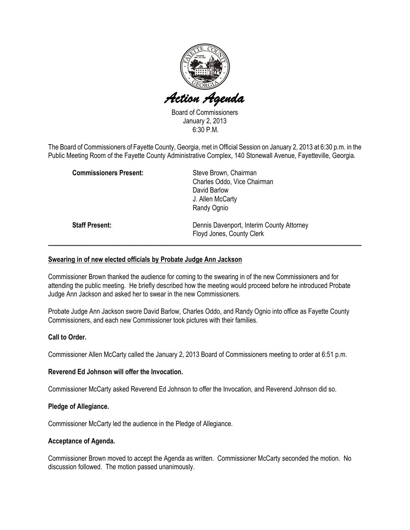

Board of Commissioners January 2, 2013 6:30 P.M.

The Board of Commissioners of Fayette County, Georgia, met in Official Session on January 2, 2013 at 6:30 p.m. in the Public Meeting Room of the Fayette County Administrative Complex, 140 Stonewall Avenue, Fayetteville, Georgia.

| <b>Commissioners Present:</b> | Steve Brown, Chairman<br>Charles Oddo, Vice Chairman<br>David Barlow<br>J. Allen McCarty<br>Randy Ognio |
|-------------------------------|---------------------------------------------------------------------------------------------------------|
| <b>Staff Present:</b>         | Dennis Davenport, Interim County Attorney<br>Floyd Jones, County Clerk                                  |

# Swearing in of new elected officials by Probate Judge Ann Jackson

Commissioner Brown thanked the audience for coming to the swearing in of the new Commissioners and for attending the public meeting. He briefly described how the meeting would proceed before he introduced Probate Judge Ann Jackson and asked her to swear in the new Commissioners.

Probate Judge Ann Jackson swore David Barlow, Charles Oddo, and Randy Ognio into office as Fayette County Commissioners, and each new Commissioner took pictures with their families.

# Call to Order.

Commissioner Allen McCarty called the January 2, 2013 Board of Commissioners meeting to order at 6:51 p.m.

# Reverend Ed Johnson will offer the Invocation.

Commissioner McCarty asked Reverend Ed Johnson to offer the Invocation, and Reverend Johnson did so.

#### Pledge of Allegiance.

Commissioner McCarty led the audience in the Pledge of Allegiance.

#### Acceptance of Agenda.

Commissioner Brown moved to accept the Agenda as written. Commissioner McCarty seconded the motion. No discussion followed. The motion passed unanimously.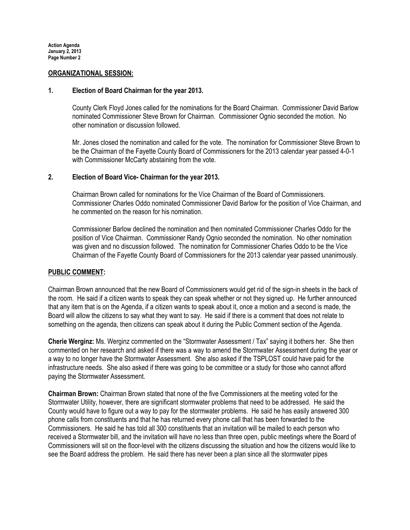#### ORGANIZATIONAL SESSION:

#### 1. Election of Board Chairman for the year 2013.

County Clerk Floyd Jones called for the nominations for the Board Chairman. Commissioner David Barlow nominated Commissioner Steve Brown for Chairman. Commissioner Ognio seconded the motion. No other nomination or discussion followed.

Mr. Jones closed the nomination and called for the vote. The nomination for Commissioner Steve Brown to be the Chairman of the Fayette County Board of Commissioners for the 2013 calendar year passed 4-0-1 with Commissioner McCarty abstaining from the vote.

# 2. Election of Board Vice- Chairman for the year 2013.

Chairman Brown called for nominations for the Vice Chairman of the Board of Commissioners. Commissioner Charles Oddo nominated Commissioner David Barlow for the position of Vice Chairman, and he commented on the reason for his nomination.

Commissioner Barlow declined the nomination and then nominated Commissioner Charles Oddo for the position of Vice Chairman. Commissioner Randy Ognio seconded the nomination. No other nomination was given and no discussion followed. The nomination for Commissioner Charles Oddo to be the Vice Chairman of the Fayette County Board of Commissioners for the 2013 calendar year passed unanimously.

# PUBLIC COMMENT:

Chairman Brown announced that the new Board of Commissioners would get rid of the sign-in sheets in the back of the room. He said if a citizen wants to speak they can speak whether or not they signed up. He further announced that any item that is on the Agenda, if a citizen wants to speak about it, once a motion and a second is made, the Board will allow the citizens to say what they want to say. He said if there is a comment that does not relate to something on the agenda, then citizens can speak about it during the Public Comment section of the Agenda.

Cherie Werginz: Ms. Werginz commented on the "Stormwater Assessment / Tax" saying it bothers her. She then commented on her research and asked if there was a way to amend the Stormwater Assessment during the year or a way to no longer have the Stormwater Assessment. She also asked if the TSPLOST could have paid for the infrastructure needs. She also asked if there was going to be committee or a study for those who cannot afford paying the Stormwater Assessment.

Chairman Brown: Chairman Brown stated that none of the five Commissioners at the meeting voted for the Stormwater Utility, however, there are significant stormwater problems that need to be addressed. He said the County would have to figure out a way to pay for the stormwater problems. He said he has easily answered 300 phone calls from constituents and that he has returned every phone call that has been forwarded to the Commissioners. He said he has told all 300 constituents that an invitation will be mailed to each person who received a Stormwater bill, and the invitation will have no less than three open, public meetings where the Board of Commissioners will sit on the floor-level with the citizens discussing the situation and how the citizens would like to see the Board address the problem. He said there has never been a plan since all the stormwater pipes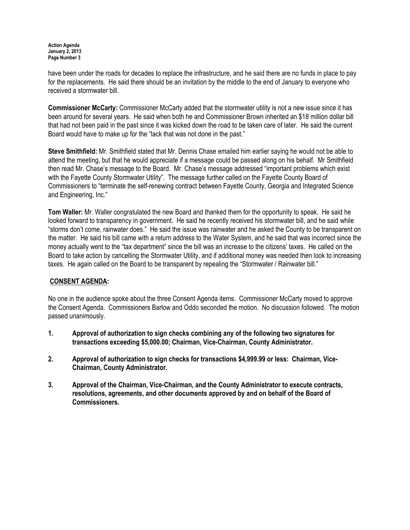have been under the roads for decades to replace the infrastructure, and he said there are no funds in place to pay for the replacements. He said there should be an invitation by the middle to the end of January to everyone who received a stormwater bill.

Commissioner McCarty: Commissioner McCarty added that the stormwater utility is not a new issue since it has been around for several years. He said when both he and Commissioner Brown inherited an \$18 million dollar bill that had not been paid in the past since it was kicked down the road to be taken care of later. He said the current Board would have to make up for the "lack that was not done in the past."

Steve Smithfield: Mr. Smithfield stated that Mr. Dennis Chase emailed him earlier saying he would not be able to attend the meeting, but that he would appreciate if a message could be passed along on his behalf. Mr Smithfield then read Mr. Chase's message to the Board. Mr. Chase's message addressed "important problems which exist with the Fayette County Stormwater Utility". The message further called on the Fayette County Board of Commissioners to "terminate the self-renewing contract between Fayette County, Georgia and Integrated Science and Engineering, Inc."

Tom Waller: Mr. Waller congratulated the new Board and thanked them for the opportunity to speak. He said he looked forward to transparency in government. He said he recently received his stormwater bill, and he said while "storms don't come, rainwater does." He said the issue was rainwater and he asked the County to be transparent on the matter. He said his bill came with a return address to the Water System, and he said that was incorrect since the money actually went to the "tax department" since the bill was an increase to the citizens' taxes. He called on the Board to take action by cancelling the Stormwater Utility, and if additional money was needed then look to increasing taxes. He again called on the Board to be transparent by repealing the "Stormwater / Rainwater bill."

# CONSENT AGENDA:

No one in the audience spoke about the three Consent Agenda items. Commissioner McCarty moved to approve the Consent Agenda. Commissioners Barlow and Oddo seconded the motion. No discussion followed. The motion passed unanimously.

- 1. Approval of authorization to sign checks combining any of the following two signatures for transactions exceeding \$5,000.00; Chairman, Vice-Chairman, County Administrator.
- 2. Approval of authorization to sign checks for transactions \$4,999.99 or less: Chairman, Vice-Chairman, County Administrator.
- 3. Approval of the Chairman, Vice-Chairman, and the County Administrator to execute contracts, resolutions, agreements, and other documents approved by and on behalf of the Board of Commissioners.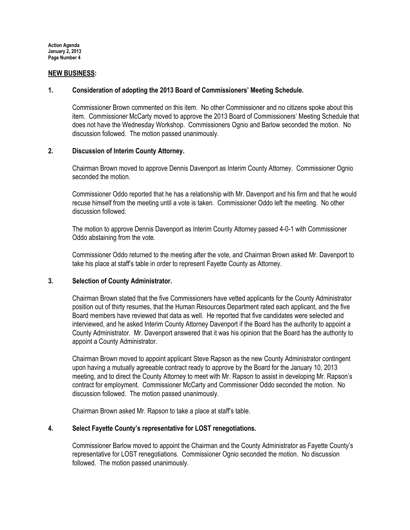#### NEW BUSINESS:

#### 1. Consideration of adopting the 2013 Board of Commissioners' Meeting Schedule.

Commissioner Brown commented on this item. No other Commissioner and no citizens spoke about this item. Commissioner McCarty moved to approve the 2013 Board of Commissioners' Meeting Schedule that does not have the Wednesday Workshop. Commissioners Ognio and Barlow seconded the motion. No discussion followed. The motion passed unanimously.

# 2. Discussion of Interim County Attorney.

Chairman Brown moved to approve Dennis Davenport as Interim County Attorney. Commissioner Ognio seconded the motion.

Commissioner Oddo reported that he has a relationship with Mr. Davenport and his firm and that he would recuse himself from the meeting until a vote is taken. Commissioner Oddo left the meeting. No other discussion followed.

The motion to approve Dennis Davenport as Interim County Attorney passed 4-0-1 with Commissioner Oddo abstaining from the vote.

Commissioner Oddo returned to the meeting after the vote, and Chairman Brown asked Mr. Davenport to take his place at staff's table in order to represent Fayette County as Attorney.

#### 3. Selection of County Administrator.

Chairman Brown stated that the five Commissioners have vetted applicants for the County Administrator position out of thirty resumes, that the Human Resources Department rated each applicant, and the five Board members have reviewed that data as well. He reported that five candidates were selected and interviewed, and he asked Interim County Attorney Davenport if the Board has the authority to appoint a County Administrator. Mr. Davenport answered that it was his opinion that the Board has the authority to appoint a County Administrator.

Chairman Brown moved to appoint applicant Steve Rapson as the new County Administrator contingent upon having a mutually agreeable contract ready to approve by the Board for the January 10, 2013 meeting, and to direct the County Attorney to meet with Mr. Rapson to assist in developing Mr. Rapson's contract for employment. Commissioner McCarty and Commissioner Oddo seconded the motion. No discussion followed. The motion passed unanimously.

Chairman Brown asked Mr. Rapson to take a place at staff's table.

# 4. Select Fayette County's representative for LOST renegotiations.

Commissioner Barlow moved to appoint the Chairman and the County Administrator as Fayette County's representative for LOST renegotiations. Commissioner Ognio seconded the motion. No discussion followed. The motion passed unanimously.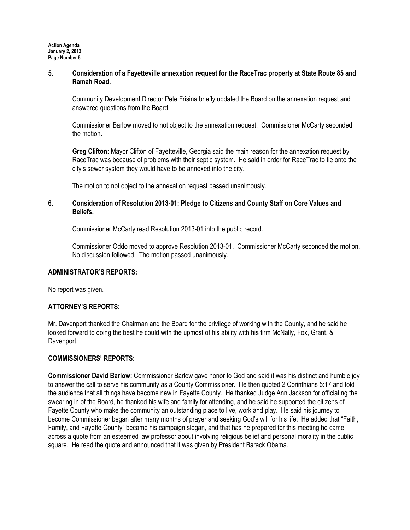# 5. Consideration of a Fayetteville annexation request for the RaceTrac property at State Route 85 and Ramah Road.

Community Development Director Pete Frisina briefly updated the Board on the annexation request and answered questions from the Board.

Commissioner Barlow moved to not object to the annexation request. Commissioner McCarty seconded the motion.

Greg Clifton: Mayor Clifton of Fayetteville, Georgia said the main reason for the annexation request by RaceTrac was because of problems with their septic system. He said in order for RaceTrac to tie onto the city's sewer system they would have to be annexed into the city.

The motion to not object to the annexation request passed unanimously.

# 6. Consideration of Resolution 2013-01: Pledge to Citizens and County Staff on Core Values and Beliefs.

Commissioner McCarty read Resolution 2013-01 into the public record.

Commissioner Oddo moved to approve Resolution 2013-01. Commissioner McCarty seconded the motion. No discussion followed. The motion passed unanimously.

# ADMINISTRATOR'S REPORTS:

No report was given.

# ATTORNEY'S REPORTS:

Mr. Davenport thanked the Chairman and the Board for the privilege of working with the County, and he said he looked forward to doing the best he could with the upmost of his ability with his firm McNally, Fox, Grant, & Davenport.

# COMMISSIONERS' REPORTS:

Commissioner David Barlow: Commissioner Barlow gave honor to God and said it was his distinct and humble joy to answer the call to serve his community as a County Commissioner. He then quoted 2 Corinthians 5:17 and told the audience that all things have become new in Fayette County. He thanked Judge Ann Jackson for officiating the swearing in of the Board, he thanked his wife and family for attending, and he said he supported the citizens of Fayette County who make the community an outstanding place to live, work and play. He said his journey to become Commissioner began after many months of prayer and seeking God's will for his life. He added that "Faith, Family, and Fayette County" became his campaign slogan, and that has he prepared for this meeting he came across a quote from an esteemed law professor about involving religious belief and personal morality in the public square. He read the quote and announced that it was given by President Barack Obama.